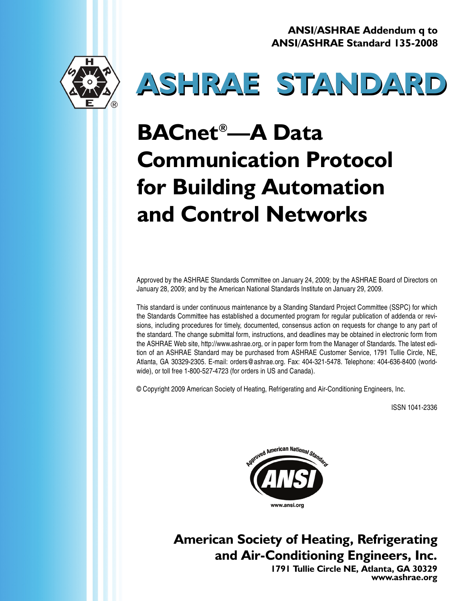**ANSI/ASHRAE Addendum q to ANSI/ASHRAE Standard 135-2008**





# **BACnet®—A Data Communication Protocol for Building Automation and Control Networks**

Approved by the ASHRAE Standards Committee on January 24, 2009; by the ASHRAE Board of Directors on January 28, 2009; and by the American National Standards Institute on January 29, 2009.

This standard is under continuous maintenance by a Standing Standard Project Committee (SSPC) for which the Standards Committee has established a documented program for regular publication of addenda or revisions, including procedures for timely, documented, consensus action on requests for change to any part of the standard. The change submittal form, instructions, and deadlines may be obtained in electronic form from the ASHRAE Web site, http://www.ashrae.org, or in paper form from the Manager of Standards. The latest edition of an ASHRAE Standard may be purchased from ASHRAE Customer Service, 1791 Tullie Circle, NE, Atlanta, GA 30329-2305. E-mail: orders@ashrae.org. Fax: 404-321-5478. Telephone: 404-636-8400 (worldwide), or toll free 1-800-527-4723 (for orders in US and Canada).

© Copyright 2009 American Society of Heating, Refrigerating and Air-Conditioning Engineers, Inc.

ISSN 1041-2336



**American Society of Heating, Refrigerating and Air-Conditioning Engineers, Inc.**

**1791 Tullie Circle NE, Atlanta, GA 30329 www.ashrae.org**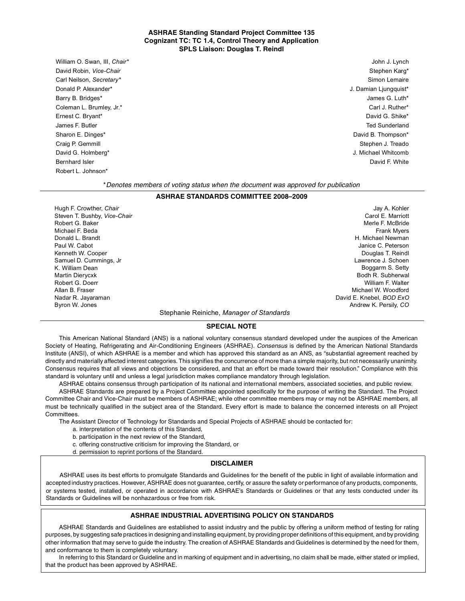#### **ASHRAE Standing Standard Project Committee 135 Cognizant TC: TC 1.4, Control Theory and Application SPLS Liaison: Douglas T. Reindl**

William O. Swan, III, *Chair\** John J. Lynch David Robin, *Vice-Chair* Stephen Karg\* **Chair Stephen Karg\*** Stephen Karg\* Stephen Karg\* Stephen Karg\* Stephen Karg\* Stephen Karg\* Stephen Karg\* Stephen Karg\* Stephen Karg\* Stephen Karg\* Stephen Karg\* Stephen Karg\* Stephe Carl Neilson, *Secretary\** Simon Lemaire Donald P. Alexander\* J. Damian Ljungquist\* Barry B. Bridges\* James G. Luth\* Coleman L. Brumley, Jr.\* Carl J. Ruther\* Carl J. Ruther\* Carl J. Ruther\* Carl J. Ruther\* Carl J. Ruther\* Ernest C. Bryant\* David G. Shike\* James F. Butler Ted Sunderland Sharon E. Dinges\* David B. Thompson\* David B. Thompson\* David B. Thompson\* David B. Thompson\* Craig P. Gemmill Stephen J. Treado David G. Holmberg\* J. Michael Whitcomb Bernhard Isler David F. White Structure of the United Structure of the United Structure of the David F. White Robert L. Johnson\*

Jay A. Kohler Carol E. Marriott Merle F. McBride Frank Myers H. Michael Newman

#### \**Denotes members of voting status when the document was approved for publication*

#### **ASHRAE STANDARDS COMMITTEE 2008–2009**

Hugh F. Crowther, *Chair* Steven T. Bushby, *Vice-Chair* Robert G. Baker Michael F. Beda Donald L. Brandt Paul W. Cabot Kenneth W. Cooper Samuel D. Cummings, Jr K. William Dean Martin Dierycxk Robert G. Doerr Allan B. Fraser Nadar R. Jayaraman Byron W. Jones

#### Janice C. Peterson Douglas T. Reindl Lawrence J. Schoen Boggarm S. Setty Bodh R. Subherwal William F. Walter Michael W. Woodford David E. Knebel, *BOD ExO* Andrew K. Persily, *CO*

#### Stephanie Reiniche, *Manager of Standards*

#### **SPECIAL NOTE**

This American National Standard (ANS) is a national voluntary consensus standard developed under the auspices of the American Society of Heating, Refrigerating and Air-Conditioning Engineers (ASHRAE). *Consensus* is defined by the American National Standards Institute (ANSI), of which ASHRAE is a member and which has approved this standard as an ANS, as "substantial agreement reached by directly and materially affected interest categories. This signifies the concurrence of more than a simple majority, but not necessarily unanimity. Consensus requires that all views and objections be considered, and that an effort be made toward their resolution." Compliance with this standard is voluntary until and unless a legal jurisdiction makes compliance mandatory through legislation.

ASHRAE obtains consensus through participation of its national and international members, associated societies, and public review.

ASHRAE Standards are prepared by a Project Committee appointed specifically for the purpose of writing the Standard. The Project Committee Chair and Vice-Chair must be members of ASHRAE; while other committee members may or may not be ASHRAE members, all must be technically qualified in the subject area of the Standard. Every effort is made to balance the concerned interests on all Project Committees.

The Assistant Director of Technology for Standards and Special Projects of ASHRAE should be contacted for:

- a. interpretation of the contents of this Standard,
- b. participation in the next review of the Standard,
- c. offering constructive criticism for improving the Standard, or
- d. permission to reprint portions of the Standard.

#### **DISCLAIMER**

ASHRAE uses its best efforts to promulgate Standards and Guidelines for the benefit of the public in light of available information and accepted industry practices. However, ASHRAE does not guarantee, certify, or assure the safety or performance of any products, components, or systems tested, installed, or operated in accordance with ASHRAE's Standards or Guidelines or that any tests conducted under its Standards or Guidelines will be nonhazardous or free from risk.

#### **ASHRAE INDUSTRIAL ADVERTISING POLICY ON STANDARDS**

ASHRAE Standards and Guidelines are established to assist industry and the public by offering a uniform method of testing for rating purposes, by suggesting safe practices in designing and installing equipment, by providing proper definitions of this equipment, and by providing other information that may serve to guide the industry. The creation of ASHRAE Standards and Guidelines is determined by the need for them, and conformance to them is completely voluntary.

In referring to this Standard or Guideline and in marking of equipment and in advertising, no claim shall be made, either stated or implied, that the product has been approved by ASHRAE.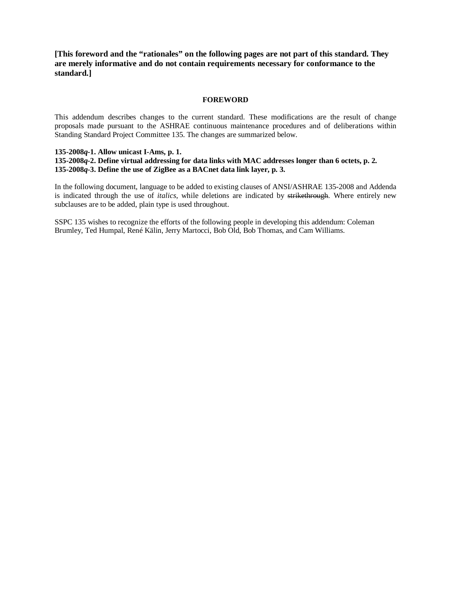**[This foreword and the "rationales" on the following pages are not part of this standard. They are merely informative and do not contain requirements necessary for conformance to the standard.]**

#### **FOREWORD**

This addendum describes changes to the current standard. These modifications are the result of change proposals made pursuant to the ASHRAE continuous maintenance procedures and of deliberations within Standing Standard Project Committee 135. The changes are summarized below.

#### **135-2008***q***-1. Allow unicast I-Ams, p. 1.**

#### **135-2008***q***-2. Define virtual addressing for data links with MAC addresses longer than 6 octets, p. 2. 135-2008***q***-3. Define the use of ZigBee as a BACnet data link layer, p. 3.**

In the following document, language to be added to existing clauses of ANSI/ASHRAE 135-2008 and Addenda is indicated through the use of *italics*, while deletions are indicated by strikethrough. Where entirely new subclauses are to be added, plain type is used throughout.

SSPC 135 wishes to recognize the efforts of the following people in developing this addendum: Coleman Brumley, Ted Humpal, René Kälin, Jerry Martocci, Bob Old, Bob Thomas, and Cam Williams.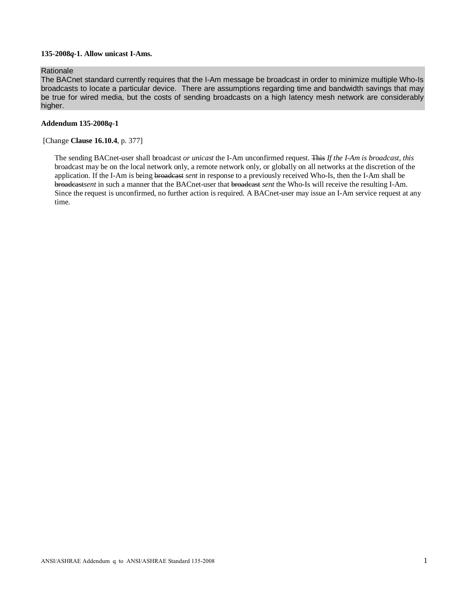#### **135-2008***q***-1. Allow unicast I-Ams.**

## Rationale

The BACnet standard currently requires that the I-Am message be broadcast in order to minimize multiple Who-Is broadcasts to locate a particular device. There are assumptions regarding time and bandwidth savings that may be true for wired media, but the costs of sending broadcasts on a high latency mesh network are considerably higher.

#### **Addendum 135-2008***q***-1**

#### [Change **Clause 16.10.4**, p. 377]

The sending BACnet-user shall broadcast *or unicast* the I-Am unconfirmed request. This *If the I-Am is broadcast, this* broadcast may be on the local network only, a remote network only, or globally on all networks at the discretion of the application*.* If the I-Am is being broadcast *sent* in response to a previously received Who-Is, then the I-Am shall be broadcast*sent* in such a manner that the BACnet-user that broadcast *sent* the Who-Is will receive the resulting I-Am. Since the request is unconfirmed, no further action is required. A BACnet-user may issue an I-Am service request at any time.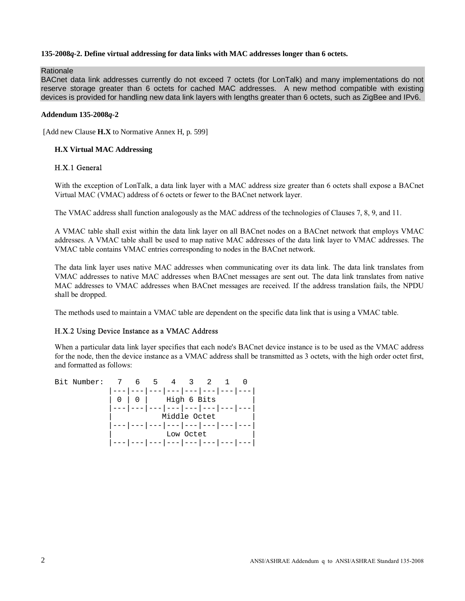## **135-2008***q***-2. Define virtual addressing for data links with MAC addresses longer than 6 octets.**

Rationale

BACnet data link addresses currently do not exceed 7 octets (for LonTalk) and many implementations do not reserve storage greater than 6 octets for cached MAC addresses. A new method compatible with existing devices is provided for handling new data link layers with lengths greater than 6 octets, such as ZigBee and IPv6.

#### **Addendum 135-2008***q***-2**

[Add new Clause **H.X** to Normative Annex H, p. 599]

## **H.X Virtual MAC Addressing**

## H.X.1 General

With the exception of LonTalk, a data link layer with a MAC address size greater than 6 octets shall expose a BACnet Virtual MAC (VMAC) address of 6 octets or fewer to the BACnet network layer.

The VMAC address shall function analogously as the MAC address of the technologies of Clauses 7, 8, 9, and 11.

A VMAC table shall exist within the data link layer on all BACnet nodes on a BACnet network that employs VMAC addresses. A VMAC table shall be used to map native MAC addresses of the data link layer to VMAC addresses. The VMAC table contains VMAC entries corresponding to nodes in the BACnet network.

The data link layer uses native MAC addresses when communicating over its data link. The data link translates from VMAC addresses to native MAC addresses when BACnet messages are sent out. The data link translates from native MAC addresses to VMAC addresses when BACnet messages are received. If the address translation fails, the NPDU shall be dropped.

The methods used to maintain a VMAC table are dependent on the specific data link that is using a VMAC table.

## H.X.2 Using Device Instance as a VMAC Address

When a particular data link layer specifies that each node's BACnet device instance is to be used as the VMAC address for the node, then the device instance as a VMAC address shall be transmitted as 3 octets, with the high order octet first, and formatted as follows:

| Bit Number: | 6 —       | $5 \t 4 \t 3$                   |           |  |  |
|-------------|-----------|---------------------------------|-----------|--|--|
|             |           | --- --- --- --- --- ---         |           |  |  |
|             | $0 0 0 1$ | High 6 Bits                     |           |  |  |
|             |           | '--- --- --- --- --- --- --- -  |           |  |  |
|             |           | Middle Octet                    |           |  |  |
|             |           | -- --- --- --- --- --- --- -    |           |  |  |
|             |           |                                 | Low Octet |  |  |
|             |           | --- --- --- --- --- --- --- --- |           |  |  |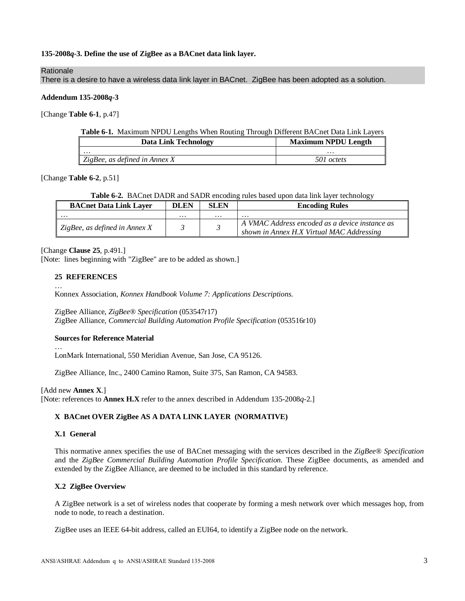## **135-2008***q***-3. Define the use of ZigBee as a BACnet data link layer.**

#### Rationale

There is a desire to have a wireless data link layer in BACnet. ZigBee has been adopted as a solution.

#### **Addendum 135-2008***q***-3**

[Change **Table 6-1**, p.47]

|  |  |  | Table 6-1. Maximum NPDU Lengths When Routing Through Different BACnet Data Link Layers |
|--|--|--|----------------------------------------------------------------------------------------|
|  |  |  |                                                                                        |

| <b>Data Link Technology</b>          | <b>Maximum NPDU Length</b> |
|--------------------------------------|----------------------------|
| $\cdots$                             | $\cdots$                   |
| $\Box$ ZigBee, as defined in Annex X | 501 octets                 |

#### [Change **Table 6-2**, p.51]

#### **Table 6-2.** BACnet DADR and SADR encoding rules based upon data link layer technology

| <b>BACnet Data Link Laver</b> | <b>DLEN</b> | <b>SLEN</b> | <b>Encoding Rules</b>                                                                       |
|-------------------------------|-------------|-------------|---------------------------------------------------------------------------------------------|
| .                             | $\cdots$    | $\cdots$    | $\cdots$                                                                                    |
| ZigBee, as defined in Annex X |             |             | A VMAC Address encoded as a device instance as<br>shown in Annex H.X Virtual MAC Addressing |

[Change **Clause 25**, p.491.]

[Note: lines beginning with "ZigBee" are to be added as shown.]

#### **25 REFERENCES**

…

…

Konnex Association, *Konnex Handbook Volume 7: Applications Descriptions.*

ZigBee Alliance, *ZigBee® Specification* (053547r17) ZigBee Alliance, *Commercial Building Automation Profile Specification* (053516r10)

## **Sources for Reference Material**

LonMark International, 550 Meridian Avenue, San Jose, CA 95126.

ZigBee Alliance, Inc., 2400 Camino Ramon, Suite 375, San Ramon, CA 94583.

[Add new **Annex X**.]

[Note: references to **Annex H.X** refer to the annex described in Addendum 135-2008*q*-2.]

## **X BACnet OVER ZigBee AS A DATA LINK LAYER (NORMATIVE)**

## **X.1 General**

This normative annex specifies the use of BACnet messaging with the services described in the *ZigBee® Specification*  and the *ZigBee Commercial Building Automation Profile Specification.* These ZigBee documents, as amended and extended by the ZigBee Alliance, are deemed to be included in this standard by reference.

## **X.2 ZigBee Overview**

A ZigBee network is a set of wireless nodes that cooperate by forming a mesh network over which messages hop, from node to node, to reach a destination.

ZigBee uses an IEEE 64-bit address, called an EUI64, to identify a ZigBee node on the network.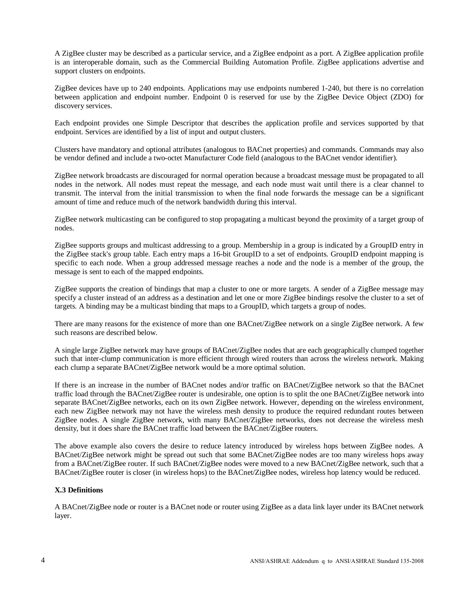A ZigBee cluster may be described as a particular service, and a ZigBee endpoint as a port. A ZigBee application profile is an interoperable domain, such as the Commercial Building Automation Profile. ZigBee applications advertise and support clusters on endpoints.

ZigBee devices have up to 240 endpoints. Applications may use endpoints numbered 1-240, but there is no correlation between application and endpoint number. Endpoint 0 is reserved for use by the ZigBee Device Object (ZDO) for discovery services.

Each endpoint provides one Simple Descriptor that describes the application profile and services supported by that endpoint. Services are identified by a list of input and output clusters.

Clusters have mandatory and optional attributes (analogous to BACnet properties) and commands. Commands may also be vendor defined and include a two-octet Manufacturer Code field (analogous to the BACnet vendor identifier).

ZigBee network broadcasts are discouraged for normal operation because a broadcast message must be propagated to all nodes in the network. All nodes must repeat the message, and each node must wait until there is a clear channel to transmit. The interval from the initial transmission to when the final node forwards the message can be a significant amount of time and reduce much of the network bandwidth during this interval.

ZigBee network multicasting can be configured to stop propagating a multicast beyond the proximity of a target group of nodes.

ZigBee supports groups and multicast addressing to a group. Membership in a group is indicated by a GroupID entry in the ZigBee stack's group table. Each entry maps a 16-bit GroupID to a set of endpoints. GroupID endpoint mapping is specific to each node. When a group addressed message reaches a node and the node is a member of the group, the message is sent to each of the mapped endpoints.

ZigBee supports the creation of bindings that map a cluster to one or more targets. A sender of a ZigBee message may specify a cluster instead of an address as a destination and let one or more ZigBee bindings resolve the cluster to a set of targets. A binding may be a multicast binding that maps to a GroupID, which targets a group of nodes.

There are many reasons for the existence of more than one BACnet/ZigBee network on a single ZigBee network. A few such reasons are described below.

A single large ZigBee network may have groups of BACnet/ZigBee nodes that are each geographically clumped together such that inter-clump communication is more efficient through wired routers than across the wireless network. Making each clump a separate BACnet/ZigBee network would be a more optimal solution.

If there is an increase in the number of BACnet nodes and/or traffic on BACnet/ZigBee network so that the BACnet traffic load through the BACnet/ZigBee router is undesirable, one option is to split the one BACnet/ZigBee network into separate BACnet/ZigBee networks, each on its own ZigBee network. However, depending on the wireless environment, each new ZigBee network may not have the wireless mesh density to produce the required redundant routes between ZigBee nodes. A single ZigBee network, with many BACnet/ZigBee networks, does not decrease the wireless mesh density, but it does share the BACnet traffic load between the BACnet/ZigBee routers.

The above example also covers the desire to reduce latency introduced by wireless hops between ZigBee nodes. A BACnet/ZigBee network might be spread out such that some BACnet/ZigBee nodes are too many wireless hops away from a BACnet/ZigBee router. If such BACnet/ZigBee nodes were moved to a new BACnet/ZigBee network, such that a BACnet/ZigBee router is closer (in wireless hops) to the BACnet/ZigBee nodes, wireless hop latency would be reduced.

## **X.3 Definitions**

A BACnet/ZigBee node or router is a BACnet node or router using ZigBee as a data link layer under its BACnet network layer.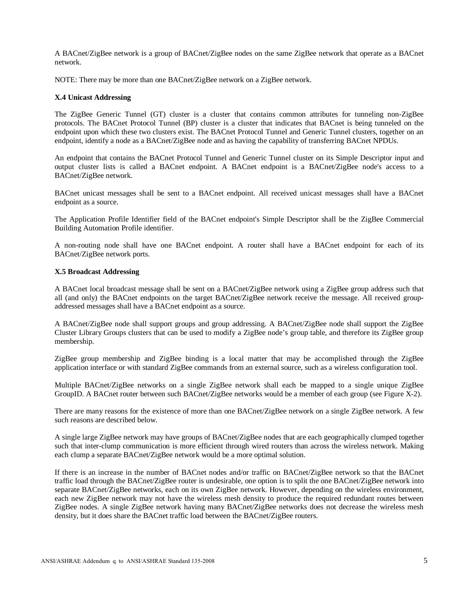A BACnet/ZigBee network is a group of BACnet/ZigBee nodes on the same ZigBee network that operate as a BACnet network.

NOTE: There may be more than one BACnet/ZigBee network on a ZigBee network.

#### **X.4 Unicast Addressing**

The ZigBee Generic Tunnel (GT) cluster is a cluster that contains common attributes for tunneling non-ZigBee protocols. The BACnet Protocol Tunnel (BP) cluster is a cluster that indicates that BACnet is being tunneled on the endpoint upon which these two clusters exist. The BACnet Protocol Tunnel and Generic Tunnel clusters, together on an endpoint, identify a node as a BACnet/ZigBee node and as having the capability of transferring BACnet NPDUs.

An endpoint that contains the BACnet Protocol Tunnel and Generic Tunnel cluster on its Simple Descriptor input and output cluster lists is called a BACnet endpoint. A BACnet endpoint is a BACnet/ZigBee node's access to a BACnet/ZigBee network.

BACnet unicast messages shall be sent to a BACnet endpoint. All received unicast messages shall have a BACnet endpoint as a source.

The Application Profile Identifier field of the BACnet endpoint's Simple Descriptor shall be the ZigBee Commercial Building Automation Profile identifier.

A non-routing node shall have one BACnet endpoint. A router shall have a BACnet endpoint for each of its BACnet/ZigBee network ports.

#### **X.5 Broadcast Addressing**

A BACnet local broadcast message shall be sent on a BACnet/ZigBee network using a ZigBee group address such that all (and only) the BACnet endpoints on the target BACnet/ZigBee network receive the message. All received groupaddressed messages shall have a BACnet endpoint as a source.

A BACnet/ZigBee node shall support groups and group addressing. A BACnet/ZigBee node shall support the ZigBee Cluster Library Groups clusters that can be used to modify a ZigBee node's group table, and therefore its ZigBee group membership.

ZigBee group membership and ZigBee binding is a local matter that may be accomplished through the ZigBee application interface or with standard ZigBee commands from an external source, such as a wireless configuration tool.

Multiple BACnet/ZigBee networks on a single ZigBee network shall each be mapped to a single unique ZigBee GroupID. A BACnet router between such BACnet/ZigBee networks would be a member of each group (see Figure X-2).

There are many reasons for the existence of more than one BACnet/ZigBee network on a single ZigBee network. A few such reasons are described below.

A single large ZigBee network may have groups of BACnet/ZigBee nodes that are each geographically clumped together such that inter-clump communication is more efficient through wired routers than across the wireless network. Making each clump a separate BACnet/ZigBee network would be a more optimal solution.

If there is an increase in the number of BACnet nodes and/or traffic on BACnet/ZigBee network so that the BACnet traffic load through the BACnet/ZigBee router is undesirable, one option is to split the one BACnet/ZigBee network into separate BACnet/ZigBee networks, each on its own ZigBee network. However, depending on the wireless environment, each new ZigBee network may not have the wireless mesh density to produce the required redundant routes between ZigBee nodes. A single ZigBee network having many BACnet/ZigBee networks does not decrease the wireless mesh density, but it does share the BACnet traffic load between the BACnet/ZigBee routers.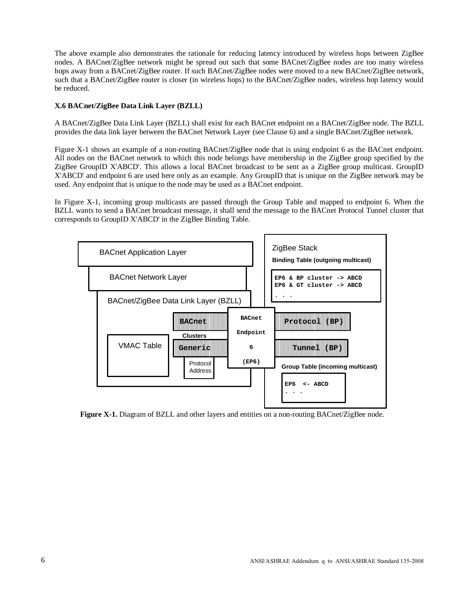The above example also demonstrates the rationale for reducing latency introduced by wireless hops between ZigBee nodes. A BACnet/ZigBee network might be spread out such that some BACnet/ZigBee nodes are too many wireless hops away from a BACnet/ZigBee router. If such BACnet/ZigBee nodes were moved to a new BACnet/ZigBee network, such that a BACnet/ZigBee router is closer (in wireless hops) to the BACnet/ZigBee nodes, wireless hop latency would be reduced.

## **X.6 BACnet/ZigBee Data Link Layer (BZLL)**

A BACnet/ZigBee Data Link Layer (BZLL) shall exist for each BACnet endpoint on a BACnet/ZigBee node. The BZLL provides the data link layer between the BACnet Network Layer (see Clause 6) and a single BACnet/ZigBee network.

Figure X-1 shows an example of a non-routing BACnet/ZigBee node that is using endpoint 6 as the BACnet endpoint. All nodes on the BACnet network to which this node belongs have membership in the ZigBee group specified by the ZigBee GroupID X'ABCD'. This allows a local BACnet broadcast to be sent as a ZigBee group multicast. GroupID X'ABCD' and endpoint 6 are used here only as an example. Any GroupID that is unique on the ZigBee network may be used. Any endpoint that is unique to the node may be used as a BACnet endpoint.

In Figure X-1, incoming group multicasts are passed through the Group Table and mapped to endpoint 6. When the BZLL wants to send a BACnet broadcast message, it shall send the message to the BACnet Protocol Tunnel cluster that corresponds to GroupID X'ABCD' in the ZigBee Binding Table.



**Figure X-1.** Diagram of BZLL and other layers and entities on a non-routing BACnet/ZigBee node.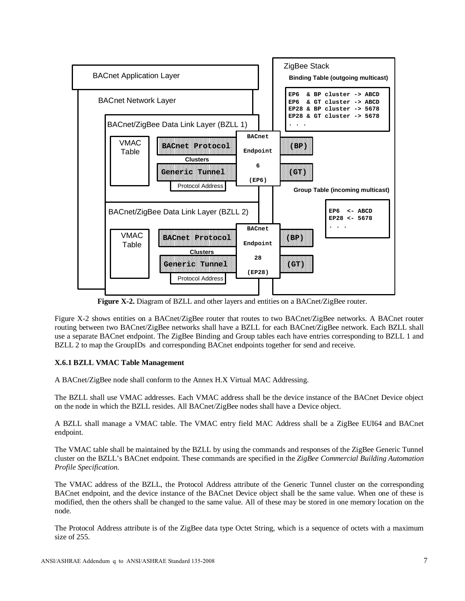

**Figure X-2.** Diagram of BZLL and other layers and entities on a BACnet/ZigBee router.

Figure X-2 shows entities on a BACnet/ZigBee router that routes to two BACnet/ZigBee networks. A BACnet router routing between two BACnet/ZigBee networks shall have a BZLL for each BACnet/ZigBee network. Each BZLL shall use a separate BACnet endpoint. The ZigBee Binding and Group tables each have entries corresponding to BZLL 1 and BZLL 2 to map the GroupIDs and corresponding BACnet endpoints together for send and receive.

## **X.6.1 BZLL VMAC Table Management**

A BACnet/ZigBee node shall conform to the Annex H.X Virtual MAC Addressing.

The BZLL shall use VMAC addresses. Each VMAC address shall be the device instance of the BACnet Device object on the node in which the BZLL resides. All BACnet/ZigBee nodes shall have a Device object.

A BZLL shall manage a VMAC table. The VMAC entry field MAC Address shall be a ZigBee EUI64 and BACnet endpoint.

The VMAC table shall be maintained by the BZLL by using the commands and responses of the ZigBee Generic Tunnel cluster on the BZLL's BACnet endpoint. These commands are specified in the *ZigBee Commercial Building Automation Profile Specification*.

The VMAC address of the BZLL, the Protocol Address attribute of the Generic Tunnel cluster on the corresponding BACnet endpoint, and the device instance of the BACnet Device object shall be the same value. When one of these is modified, then the others shall be changed to the same value. All of these may be stored in one memory location on the node.

The Protocol Address attribute is of the ZigBee data type Octet String, which is a sequence of octets with a maximum size of 255.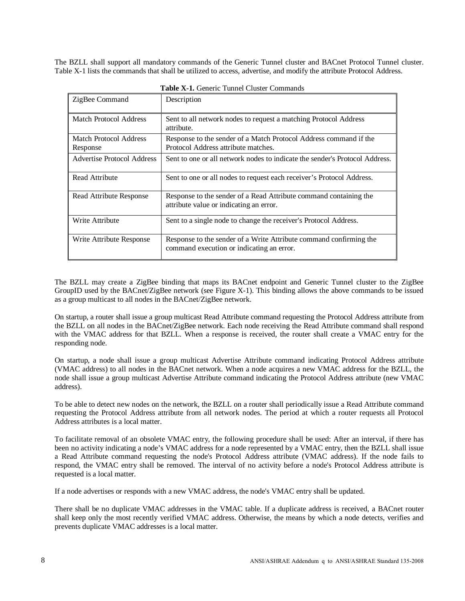The BZLL shall support all mandatory commands of the Generic Tunnel cluster and BACnet Protocol Tunnel cluster. Table X-1 lists the commands that shall be utilized to access, advertise, and modify the attribute Protocol Address.

| ZigBee Command                            | Description                                                                                                     |
|-------------------------------------------|-----------------------------------------------------------------------------------------------------------------|
| <b>Match Protocol Address</b>             | Sent to all network nodes to request a matching Protocol Address<br>attribute.                                  |
| <b>Match Protocol Address</b><br>Response | Response to the sender of a Match Protocol Address command if the<br>Protocol Address attribute matches.        |
| Advertise Protocol Address                | Sent to one or all network nodes to indicate the sender's Protocol Address.                                     |
| Read Attribute                            | Sent to one or all nodes to request each receiver's Protocol Address.                                           |
| Read Attribute Response                   | Response to the sender of a Read Attribute command containing the<br>attribute value or indicating an error.    |
| Write Attribute                           | Sent to a single node to change the receiver's Protocol Address.                                                |
| Write Attribute Response                  | Response to the sender of a Write Attribute command confirming the<br>command execution or indicating an error. |

**Table X-1.** Generic Tunnel Cluster Commands

The BZLL may create a ZigBee binding that maps its BACnet endpoint and Generic Tunnel cluster to the ZigBee GroupID used by the BACnet/ZigBee network (see Figure X-1). This binding allows the above commands to be issued as a group multicast to all nodes in the BACnet/ZigBee network.

On startup, a router shall issue a group multicast Read Attribute command requesting the Protocol Address attribute from the BZLL on all nodes in the BACnet/ZigBee network. Each node receiving the Read Attribute command shall respond with the VMAC address for that BZLL. When a response is received, the router shall create a VMAC entry for the responding node.

On startup, a node shall issue a group multicast Advertise Attribute command indicating Protocol Address attribute (VMAC address) to all nodes in the BACnet network. When a node acquires a new VMAC address for the BZLL, the node shall issue a group multicast Advertise Attribute command indicating the Protocol Address attribute (new VMAC address).

To be able to detect new nodes on the network, the BZLL on a router shall periodically issue a Read Attribute command requesting the Protocol Address attribute from all network nodes. The period at which a router requests all Protocol Address attributes is a local matter.

To facilitate removal of an obsolete VMAC entry, the following procedure shall be used: After an interval, if there has been no activity indicating a node's VMAC address for a node represented by a VMAC entry, then the BZLL shall issue a Read Attribute command requesting the node's Protocol Address attribute (VMAC address). If the node fails to respond, the VMAC entry shall be removed. The interval of no activity before a node's Protocol Address attribute is requested is a local matter.

If a node advertises or responds with a new VMAC address, the node's VMAC entry shall be updated.

There shall be no duplicate VMAC addresses in the VMAC table. If a duplicate address is received, a BACnet router shall keep only the most recently verified VMAC address. Otherwise, the means by which a node detects, verifies and prevents duplicate VMAC addresses is a local matter.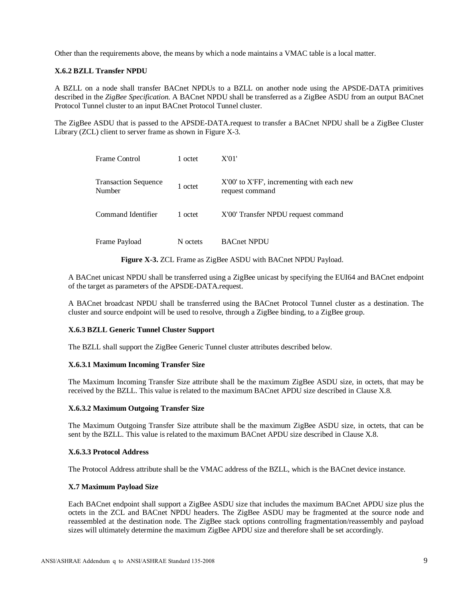Other than the requirements above, the means by which a node maintains a VMAC table is a local matter.

## **X.6.2 BZLL Transfer NPDU**

A BZLL on a node shall transfer BACnet NPDUs to a BZLL on another node using the APSDE-DATA primitives described in the *ZigBee Specification*. A BACnet NPDU shall be transferred as a ZigBee ASDU from an output BACnet Protocol Tunnel cluster to an input BACnet Protocol Tunnel cluster.

The ZigBee ASDU that is passed to the APSDE-DATA.request to transfer a BACnet NPDU shall be a ZigBee Cluster Library (ZCL) client to server frame as shown in Figure X-3.

| Frame Control                         | 1 octet  | X'01'                                                         |
|---------------------------------------|----------|---------------------------------------------------------------|
| <b>Transaction Sequence</b><br>Number | 1 octet  | X'00' to X'FF', incrementing with each new<br>request command |
| Command Identifier                    | 1 octet  | X'00' Transfer NPDU request command                           |
| Frame Payload                         | N octets | <b>BACnet NPDU</b>                                            |

**Figure X-3.** ZCL Frame as ZigBee ASDU with BACnet NPDU Payload.

A BACnet unicast NPDU shall be transferred using a ZigBee unicast by specifying the EUI64 and BACnet endpoint of the target as parameters of the APSDE-DATA.request.

A BACnet broadcast NPDU shall be transferred using the BACnet Protocol Tunnel cluster as a destination. The cluster and source endpoint will be used to resolve, through a ZigBee binding, to a ZigBee group.

## **X.6.3 BZLL Generic Tunnel Cluster Support**

The BZLL shall support the ZigBee Generic Tunnel cluster attributes described below.

#### **X.6.3.1 Maximum Incoming Transfer Size**

The Maximum Incoming Transfer Size attribute shall be the maximum ZigBee ASDU size, in octets, that may be received by the BZLL. This value is related to the maximum BACnet APDU size described in Clause X.8.

#### **X.6.3.2 Maximum Outgoing Transfer Size**

The Maximum Outgoing Transfer Size attribute shall be the maximum ZigBee ASDU size, in octets, that can be sent by the BZLL. This value is related to the maximum BACnet APDU size described in Clause X.8.

#### **X.6.3.3 Protocol Address**

The Protocol Address attribute shall be the VMAC address of the BZLL, which is the BACnet device instance.

## **X.7 Maximum Payload Size**

Each BACnet endpoint shall support a ZigBee ASDU size that includes the maximum BACnet APDU size plus the octets in the ZCL and BACnet NPDU headers. The ZigBee ASDU may be fragmented at the source node and reassembled at the destination node. The ZigBee stack options controlling fragmentation/reassembly and payload sizes will ultimately determine the maximum ZigBee APDU size and therefore shall be set accordingly.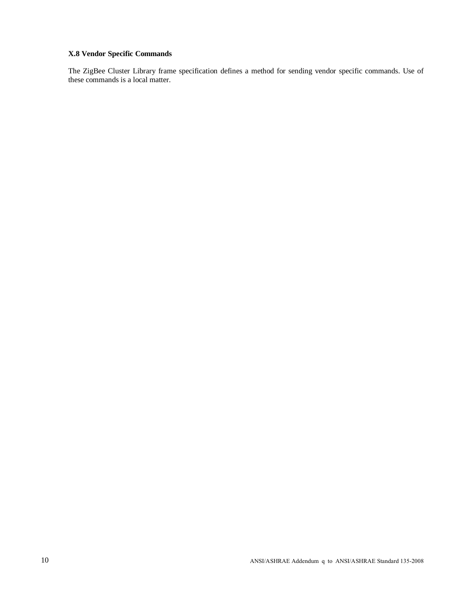# **X.8 Vendor Specific Commands**

The ZigBee Cluster Library frame specification defines a method for sending vendor specific commands. Use of these commands is a local matter.